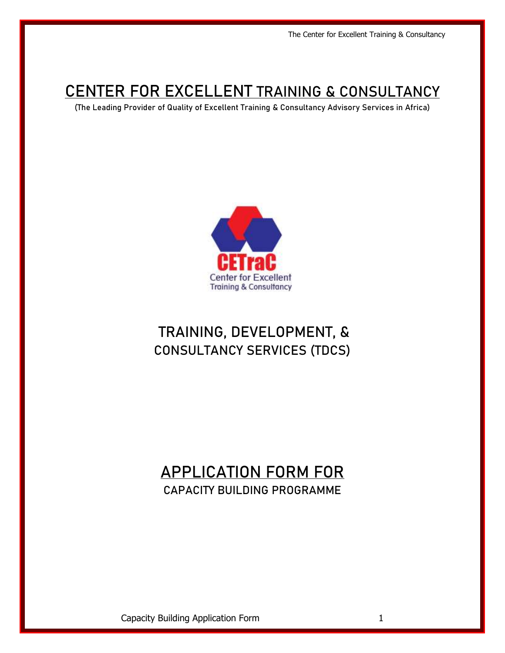# **CENTER FOR EXCELLENT TRAINING & CONSULTANCY**

(The Leading Provider of Quality of Excellent Training & Consultancy Advisory Services in Africa)



# TRAINING, DEVELOPMENT, & CONSULTANCY SERVICES (TDCS)

## APPLICATION FORM FOR CAPACITY BUILDING PROGRAMME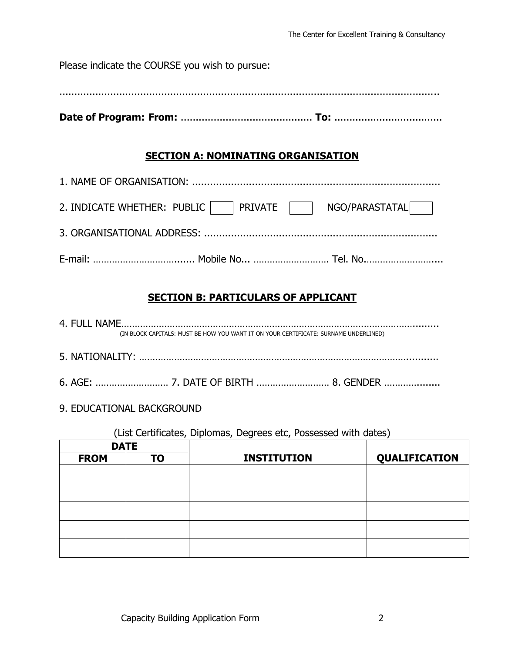| Please indicate the COURSE you wish to pursue: |                                           |                |
|------------------------------------------------|-------------------------------------------|----------------|
|                                                |                                           |                |
|                                                | <b>SECTION A: NOMINATING ORGANISATION</b> |                |
|                                                |                                           |                |
| 2. INDICATE WHETHER: PUBLIC     PRIVATE        |                                           | NGO/PARASTATAL |
|                                                |                                           |                |
|                                                |                                           |                |
|                                                |                                           |                |

## **SECTION B: PARTICULARS OF APPLICANT**

4. FULL NAME………………………………………………………………………………………………......... (IN BLOCK CAPITALS: MUST BE HOW YOU WANT IT ON YOUR CERTIFICATE: SURNAME UNDERLINED)

- 5. NATIONALITY: ………………………………………………………………………………………...........
- 6. AGE: ……………………… 7. DATE OF BIRTH ……………………… 8. GENDER …………........
- 9. EDUCATIONAL BACKGROUND

(List Certificates, Diplomas, Degrees etc, Possessed with dates)

| <b>DATE</b> |           |                    |               |
|-------------|-----------|--------------------|---------------|
| <b>FROM</b> | <b>TO</b> | <b>INSTITUTION</b> | QUALIFICATION |
|             |           |                    |               |
|             |           |                    |               |
|             |           |                    |               |
|             |           |                    |               |
|             |           |                    |               |
|             |           |                    |               |
|             |           |                    |               |
|             |           |                    |               |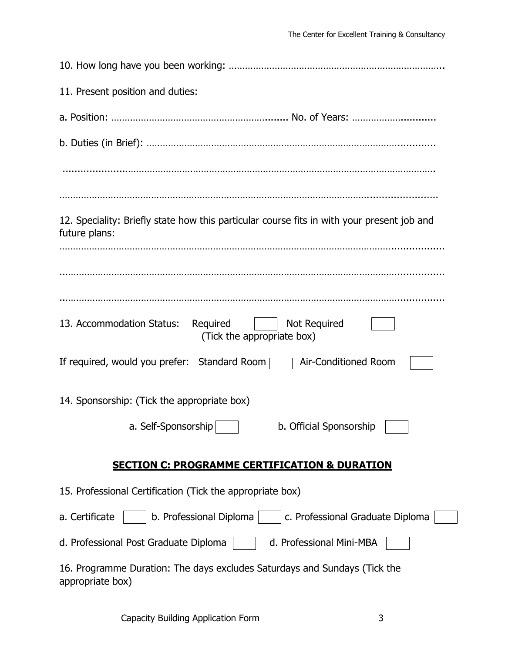| 11. Present position and duties:                                                                            |
|-------------------------------------------------------------------------------------------------------------|
|                                                                                                             |
|                                                                                                             |
|                                                                                                             |
| 12. Speciality: Briefly state how this particular course fits in with your present job and<br>future plans: |
|                                                                                                             |
| 13. Accommodation Status: Required<br><b>Not Required</b><br>(Tick the appropriate box)                     |
| If required, would you prefer: Standard Room   Air-Conditioned Room                                         |
| 14. Sponsorship: (Tick the appropriate box)                                                                 |
| a. Self-Sponsorship<br>b. Official Sponsorship                                                              |
| <b>SECTION C: PROGRAMME CERTIFICATION &amp; DURATION</b>                                                    |
| 15. Professional Certification (Tick the appropriate box)                                                   |
| b. Professional Diploma<br>a. Certificate<br>c. Professional Graduate Diploma                               |
| d. Professional Post Graduate Diploma<br>d. Professional Mini-MBA                                           |
| 16. Programme Duration: The days excludes Saturdays and Sundays (Tick the<br>appropriate box)               |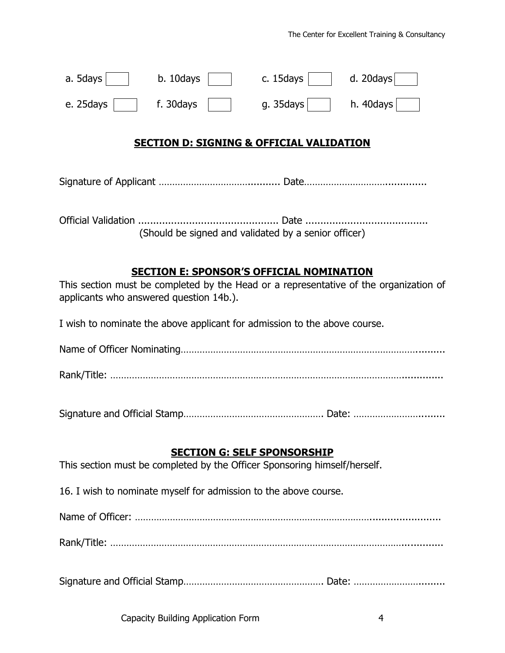| a. 5days  | b. 10days | c. 15days     | d. $20$ days |
|-----------|-----------|---------------|--------------|
| e. 25days | f. 30days | g. 35 $d$ ays | h. $40$ days |

#### **SECTION D: SIGNING & OFFICIAL VALIDATION**

Signature of Applicant ……………………………........... Date…………………………..............

Official Validation ............................................... Date ......................................... (Should be signed and validated by a senior officer)

#### **SECTION E: SPONSOR'S OFFICIAL NOMINATION**

This section must be completed by the Head or a representative of the organization of applicants who answered question 14b.).

I wish to nominate the above applicant for admission to the above course.

Name of Officer Nominating……………………………………………………………………………..........

Rank/Title: ………………………………………………………………………………………………..............

Signature and Official Stamp……………………………………………. Date: …………………….........

#### **SECTION G: SELF SPONSORSHIP**

This section must be completed by the Officer Sponsoring himself/herself.

16. I wish to nominate myself for admission to the above course.

Name of Officer: ……………………………………………………………………………........................

Rank/Title: ………………………………………………………………………………………………..............

Signature and Official Stamp……………………………………………. Date: …………………….........